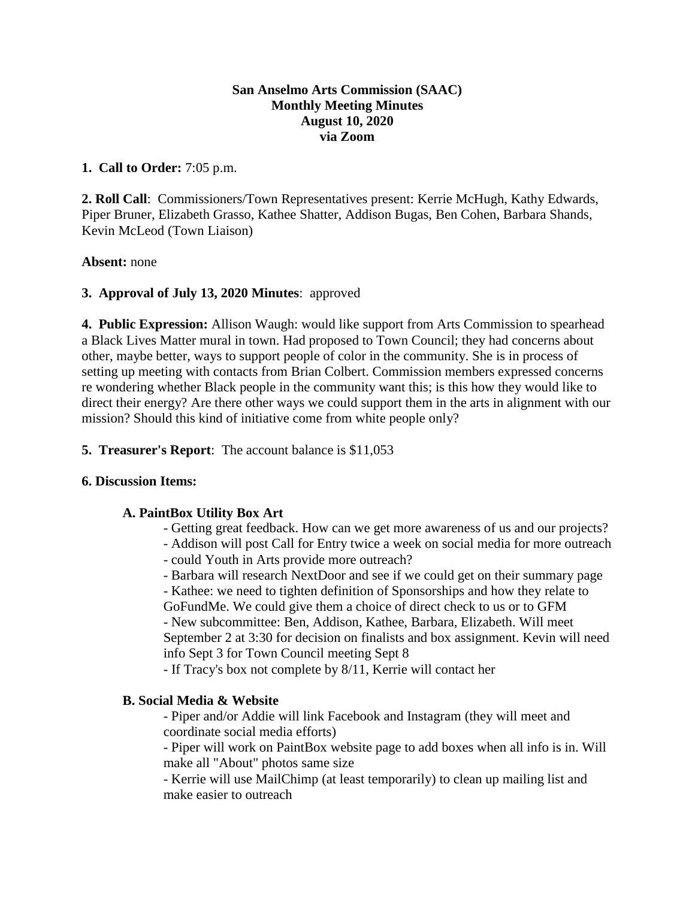## **San Anselmo Arts Commission (SAAC) Monthly Meeting Minutes August 10, 2020 via Zoom**

## **1. Call to Order:** 7:05 p.m.

**2. Roll Call**: Commissioners/Town Representatives present: Kerrie McHugh, Kathy Edwards, Piper Bruner, Elizabeth Grasso, Kathee Shatter, Addison Bugas, Ben Cohen, Barbara Shands, Kevin McLeod (Town Liaison)

#### **Absent:** none

# **3. Approval of July 13, 2020 Minutes**: approved

**4. Public Expression:** Allison Waugh: would like support from Arts Commission to spearhead a Black Lives Matter mural in town. Had proposed to Town Council; they had concerns about other, maybe better, ways to support people of color in the community. She is in process of setting up meeting with contacts from Brian Colbert. Commission members expressed concerns re wondering whether Black people in the community want this; is this how they would like to direct their energy? Are there other ways we could support them in the arts in alignment with our mission? Should this kind of initiative come from white people only?

**5. Treasurer's Report**: The account balance is \$11,053

# **6. Discussion Items:**

# **A. PaintBox Utility Box Art**

- Getting great feedback. How can we get more awareness of us and our projects?
- Addison will post Call for Entry twice a week on social media for more outreach - could Youth in Arts provide more outreach?
- Barbara will research NextDoor and see if we could get on their summary page

- Kathee: we need to tighten definition of Sponsorships and how they relate to GoFundMe. We could give them a choice of direct check to us or to GFM - New subcommittee: Ben, Addison, Kathee, Barbara, Elizabeth. Will meet September 2 at 3:30 for decision on finalists and box assignment. Kevin will need info Sept 3 for Town Council meeting Sept 8

- If Tracy's box not complete by 8/11, Kerrie will contact her

# **B. Social Media & Website**

- Piper and/or Addie will link Facebook and Instagram (they will meet and coordinate social media efforts)

- Piper will work on PaintBox website page to add boxes when all info is in. Will make all "About" photos same size

- Kerrie will use MailChimp (at least temporarily) to clean up mailing list and make easier to outreach